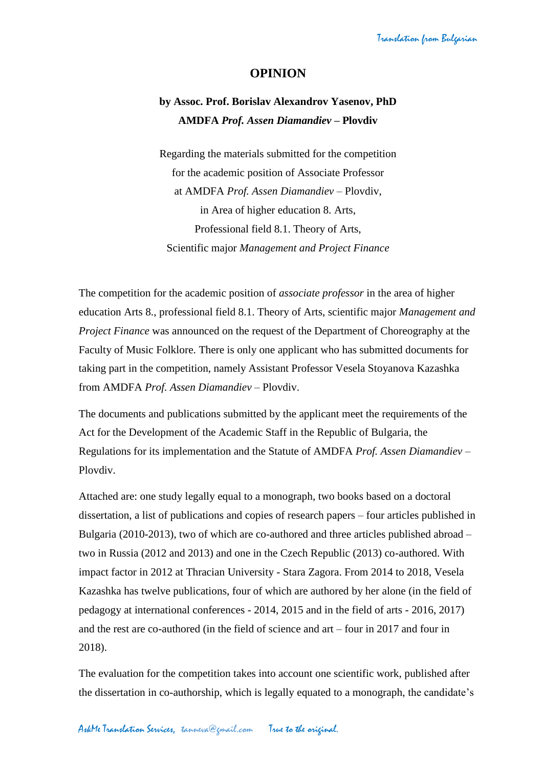## **OPINION**

## **by Assoc. Prof. Borislav Alexandrov Yasenov, PhD AMDFA** *Prof. Assen Diamandiev* **– Plovdiv**

Regarding the materials submitted for the competition for the academic position of Associate Professor at AMDFA *Prof. Assen Diamandiev* – Plovdiv, in Area of higher education 8. Arts, Professional field 8.1. Theory of Arts, Scientific major *Management and Project Finance*

The competition for the academic position of *associate professor* in the area of higher education Arts 8., professional field 8.1. Theory of Arts, scientific major *Management and Project Finance* was announced on the request of the Department of Choreography at the Faculty of Music Folklore. There is only one applicant who has submitted documents for taking part in the competition, namely Assistant Professor Vesela Stoyanova Kazashka from AMDFA *Prof. Assen Diamandiev* – Plovdiv.

The documents and publications submitted by the applicant meet the requirements of the Act for the Development of the Academic Staff in the Republic of Bulgaria, the Regulations for its implementation and the Statute of AMDFA *Prof. Assen Diamandiev* – Plovdiv.

Attached are: one study legally equal to a monograph, two books based on a doctoral dissertation, a list of publications and copies of research papers – four articles published in Bulgaria (2010-2013), two of which are co-authored and three articles published abroad – two in Russia (2012 and 2013) and one in the Czech Republic (2013) co-authored. With impact factor in 2012 at Thracian University - Stara Zagora. From 2014 to 2018, Vesela Kazashka has twelve publications, four of which are authored by her alone (in the field of pedagogy at international conferences - 2014, 2015 and in the field of arts - 2016, 2017) and the rest are co-authored (in the field of science and art – four in 2017 and four in 2018).

The evaluation for the competition takes into account one scientific work, published after the dissertation in co-authorship, which is legally equated to a monograph, the candidate's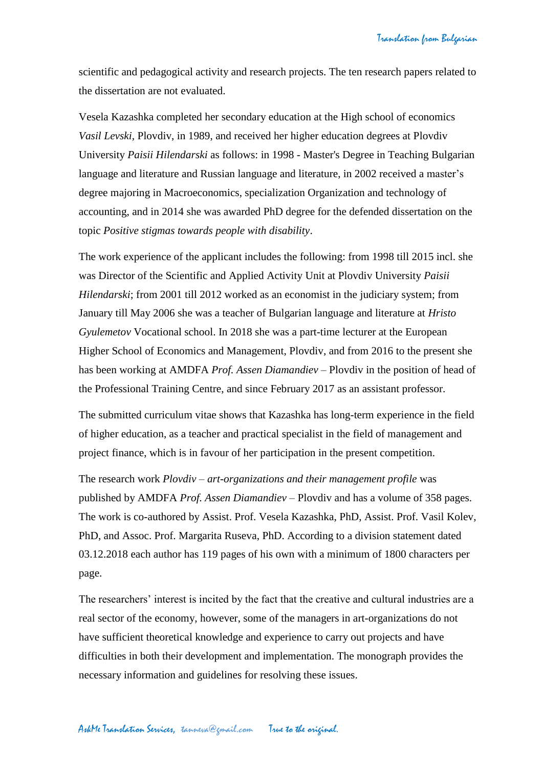scientific and pedagogical activity and research projects. The ten research papers related to the dissertation are not evaluated.

Vesela Kazashka completed her secondary education at the High school of economics *Vasil Levski*, Plovdiv, in 1989, and received her higher education degrees at Plovdiv University *Paisii Hilendarski* as follows: in 1998 - Master's Degree in Teaching Bulgarian language and literature and Russian language and literature, in 2002 received a master's degree majoring in Macroeconomics, specialization Organization and technology of accounting, and in 2014 she was awarded PhD degree for the defended dissertation on the topic *Positive stigmas towards people with disability*.

The work experience of the applicant includes the following: from 1998 till 2015 incl. she was Director of the Scientific and Applied Activity Unit at Plovdiv University *Paisii Hilendarski*; from 2001 till 2012 worked as an economist in the judiciary system; from January till May 2006 she was a teacher of Bulgarian language and literature at *Hristo Gyulemetov* Vocational school. In 2018 she was a part-time lecturer at the European Higher School of Economics and Management, Plovdiv, and from 2016 to the present she has been working at AMDFA *Prof. Assen Diamandiev* – Plovdiv in the position of head of the Professional Training Centre, and since February 2017 as an assistant professor.

The submitted curriculum vitae shows that Kazashka has long-term experience in the field of higher education, as a teacher and practical specialist in the field of management and project finance, which is in favour of her participation in the present competition.

The research work *Plovdiv – art-organizations and their management profile* was published by AMDFA *Prof. Assen Diamandiev* – Plovdiv and has a volume of 358 pages. The work is co-authored by Assist. Prof. Vesela Kazashka, PhD, Assist. Prof. Vasil Kolev, PhD, and Assoc. Prof. Margarita Ruseva, PhD. According to a division statement dated 03.12.2018 each author has 119 pages of his own with a minimum of 1800 characters per page.

The researchers' interest is incited by the fact that the creative and cultural industries are a real sector of the economy, however, some of the managers in art-organizations do not have sufficient theoretical knowledge and experience to carry out projects and have difficulties in both their development and implementation. The monograph provides the necessary information and guidelines for resolving these issues.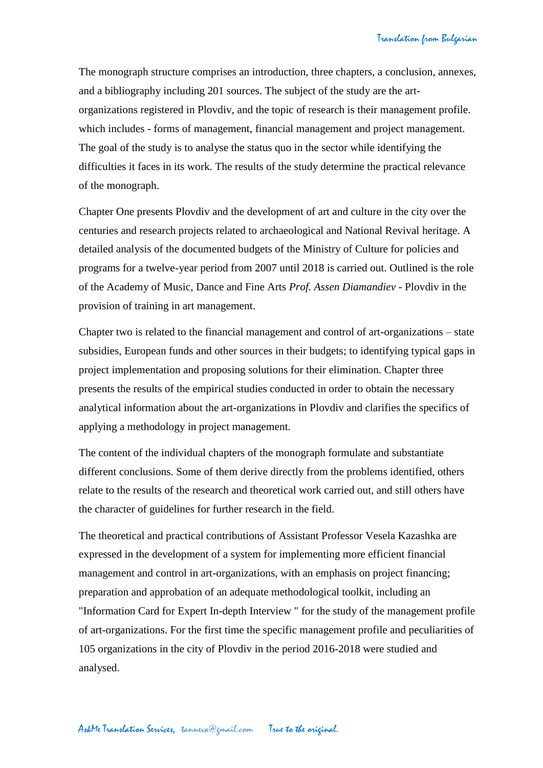The monograph structure comprises an introduction, three chapters, a conclusion, annexes, and a bibliography including 201 sources. The subject of the study are the artorganizations registered in Plovdiv, and the topic of research is their management profile. which includes - forms of management, financial management and project management. The goal of the study is to analyse the status quo in the sector while identifying the difficulties it faces in its work. The results of the study determine the practical relevance of the monograph.

Chapter One presents Plovdiv and the development of art and culture in the city over the centuries and research projects related to archaeological and National Revival heritage. A detailed analysis of the documented budgets of the Ministry of Culture for policies and programs for a twelve-year period from 2007 until 2018 is carried out. Outlined is the role of the Academy of Music, Dance and Fine Arts *Prof. Assen Diamandiev* - Plovdiv in the provision of training in art management.

Chapter two is related to the financial management and control of art-organizations – state subsidies, European funds and other sources in their budgets; to identifying typical gaps in project implementation and proposing solutions for their elimination. Chapter three presents the results of the empirical studies conducted in order to obtain the necessary analytical information about the art-organizations in Plovdiv and clarifies the specifics of applying a methodology in project management.

The content of the individual chapters of the monograph formulate and substantiate different conclusions. Some of them derive directly from the problems identified, others relate to the results of the research and theoretical work carried out, and still others have the character of guidelines for further research in the field.

The theoretical and practical contributions of Assistant Professor Vesela Kazashka are expressed in the development of a system for implementing more efficient financial management and control in art-organizations, with an emphasis on project financing; preparation and approbation of an adequate methodological toolkit, including an "Information Card for Expert In-depth Interview " for the study of the management profile of art-organizations. For the first time the specific management profile and peculiarities of 105 organizations in the city of Plovdiv in the period 2016-2018 were studied and analysed.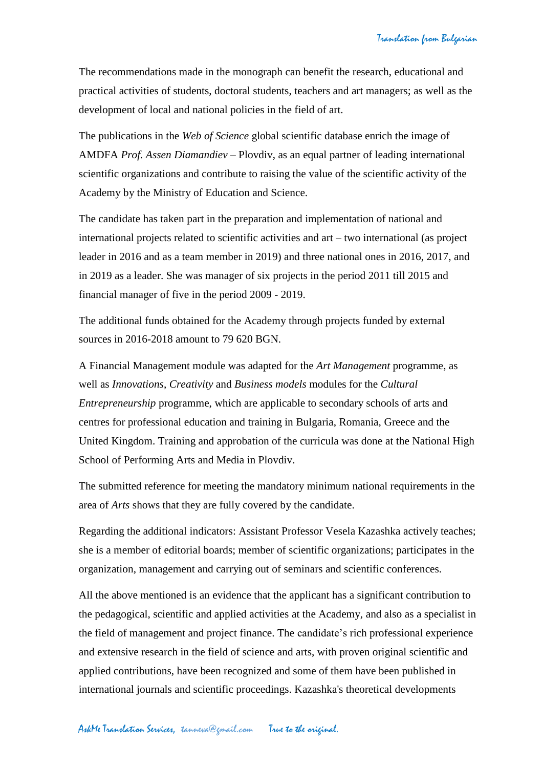The recommendations made in the monograph can benefit the research, educational and practical activities of students, doctoral students, teachers and art managers; as well as the development of local and national policies in the field of art.

The publications in the *Web of Science* global scientific database enrich the image of AMDFA *Prof. Assen Diamandiev* – Plovdiv, as an equal partner of leading international scientific organizations and contribute to raising the value of the scientific activity of the Academy by the Ministry of Education and Science.

The candidate has taken part in the preparation and implementation of national and international projects related to scientific activities and art – two international (as project leader in 2016 and as a team member in 2019) and three national ones in 2016, 2017, and in 2019 as a leader. She was manager of six projects in the period 2011 till 2015 and financial manager of five in the period 2009 - 2019.

The additional funds obtained for the Academy through projects funded by external sources in 2016-2018 amount to 79 620 BGN.

A Financial Management module was adapted for the *Art Management* programme, as well as *Innovations*, *Creativity* and *Business models* modules for the *Cultural Entrepreneurship* programme, which are applicable to secondary schools of arts and centres for professional education and training in Bulgaria, Romania, Greece and the United Kingdom. Training and approbation of the curricula was done at the National High School of Performing Arts and Media in Plovdiv.

The submitted reference for meeting the mandatory minimum national requirements in the area of *Arts* shows that they are fully covered by the candidate.

Regarding the additional indicators: Assistant Professor Vesela Kazashka actively teaches; she is a member of editorial boards; member of scientific organizations; participates in the organization, management and carrying out of seminars and scientific conferences.

All the above mentioned is an evidence that the applicant has a significant contribution to the pedagogical, scientific and applied activities at the Academy, and also as a specialist in the field of management and project finance. The candidate's rich professional experience and extensive research in the field of science and arts, with proven original scientific and applied contributions, have been recognized and some of them have been published in international journals and scientific proceedings. Kazashka's theoretical developments